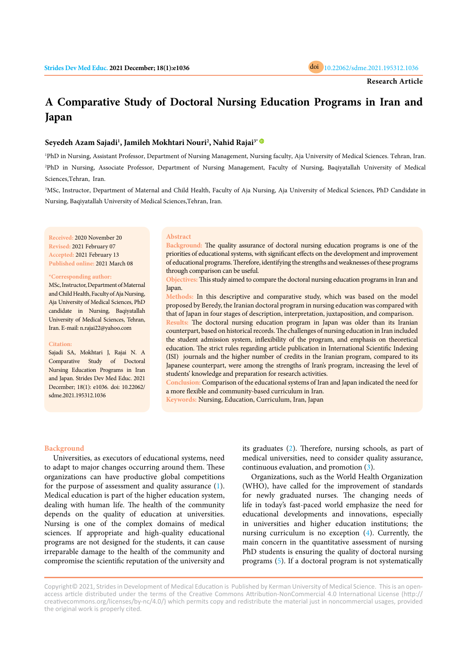# **A Comparative Study of Doctoral Nursing Education Programs in Iran and Japan**

## **Seyedeh Azam Sajadi1 , Jamileh Mokhtari Nouri2 , Nahid Rajai3\***

<sup>1</sup>PhD in Nursing, Assistant Professor, Department of Nursing Management, Nursing faculty, Aja University of Medical Sciences. Tehran, Iran. <sup>2</sup>PhD in Nursing, Associate Professor, Department of Nursing Management, Faculty of Nursing, Baqiyatallah University of Medical Sciences,Tehran, Iran.

<sup>3</sup>MSc, Instructor, Department of Maternal and Child Health, Faculty of Aja Nursing, Aja University of Medical Sciences, PhD Candidate in Nursing, Baqiyatallah University of Medical Sciences,Tehran, Iran.

**Received:** 2020 November 20 **Revised:** 2021 February 07 **Accepted:** 2021 February 13 **Published online:** 2021 March 08

#### **\*Corresponding author:**

MSc, Instructor, Department of Maternal and Child Health, Faculty of Aja Nursing, Aja University of Medical Sciences, PhD candidate in Nursing, Baqiyatallah University of Medical Sciences, Tehran, Iran. E-mail: n.rajai22@yahoo.com

#### **Citation:**

Sajadi SA, Mokhtari J, Rajai N. A Comparative Study of Doctoral Nursing Education Programs in Iran and Japan. Strides Dev Med Educ. 2021 December; 18(1): e1036. doi: 10.22062/ sdme.2021.195312.1036

#### **Abstract**

**Background:** The quality assurance of doctoral nursing education programs is one of the priorities of educational systems, with significant effects on the development and improvement of educational programs. Therefore, identifying the strengths and weaknesses of these programs through comparison can be useful.

**Objectives:** This study aimed to compare the doctoral nursing education programs in Iran and Japan.

**Methods:** In this descriptive and comparative study, which was based on the model proposed by Beredy, the Iranian doctoral program in nursing education was compared with that of Japan in four stages of description, interpretation, juxtaposition, and comparison.

**Results:** The doctoral nursing education program in Japan was older than its Iranian counterpart, based on historical records. The challenges of nursing education in Iran included the student admission system, inflexibility of the program, and emphasis on theoretical education. The strict rules regarding article publication in International Scientific Indexing (ISI) journals and the higher number of credits in the Iranian program, compared to its Japanese counterpart, were among the strengths of Iran's program, increasing the level of students' knowledge and preparation for research activities.

**Conclusion:** Comparison of the educational systems of Iran and Japan indicated the need for a more flexible and community-based curriculum in Iran.

**Keywords:** Nursing, Education, Curriculum, Iran, Japan

## **Background**

Universities, as executors of educational systems, need to adapt to major changes occurring around them. These organizations can have productive global competitions for the purpose of assessment and quality assurance [\(1\)](#page-4-0). Medical education is part of the higher education system, dealing with human life. The health of the community depends on the quality of education at universities. Nursing is one of the complex domains of medical sciences. If appropriate and high-quality educational programs are not designed for the students, it can cause irreparable damage to the health of the community and compromise the scientific reputation of the university and

its graduates ([2\)](#page-4-0). Therefore, nursing schools, as part of medical universities, need to consider quality assurance, continuous evaluation, and promotion ([3](#page-4-0)).

Organizations, such as the World Health Organization (WHO), have called for the improvement of standards for newly graduated nurses. The changing needs of life in today's fast-paced world emphasize the need for educational developments and innovations, especially in universities and higher education institutions; the nursing curriculum is no exception ([4](#page-4-0)). Currently, the main concern in the quantitative assessment of nursing PhD students is ensuring the quality of doctoral nursing programs [\(5](#page-4-0)). If a doctoral program is not systematically

Copyright© 2021, Strides in Development of Medical Education is Published by Kerman University of Medical Science. This is an openaccess article distributed under the terms of the Creative Commons Attribution-NonCommercial 4.0 International License (http:// creativecommons.org/licenses/by-nc/4.0/) which permits copy and redistribute the material just in noncommercial usages, provided the original work is properly cited.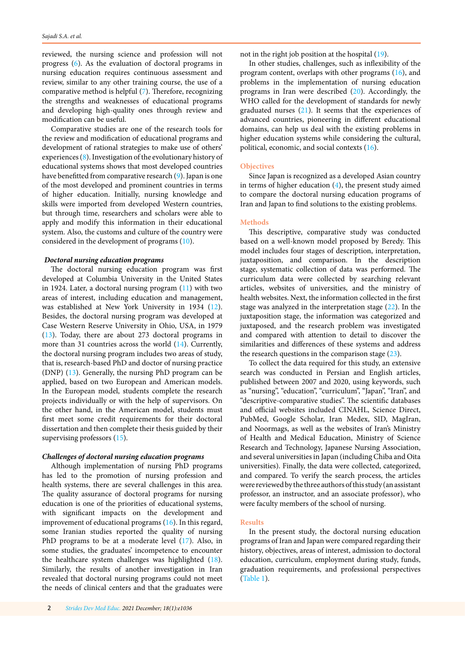reviewed, the nursing science and profession will not progress ([6\)](#page-4-0). As the evaluation of doctoral programs in nursing education requires continuous assessment and review, similar to any other training course, the use of a comparative method is helpful ([7\)](#page-4-0). Therefore, recognizing the strengths and weaknesses of educational programs and developing high-quality ones through review and modification can be useful.

Comparative studies are one of the research tools for the review and modification of educational programs and development of rational strategies to make use of others' experiences ([8\)](#page-4-0). Investigation of the evolutionary history of educational systems shows that most developed countries have benefitted from comparative research [\(9\)](#page-4-0). Japan is one of the most developed and prominent countries in terms of higher education. Initially, nursing knowledge and skills were imported from developed Western countries, but through time, researchers and scholars were able to apply and modify this information in their educational system. Also, the customs and culture of the country were considered in the development of programs [\(10\)](#page-4-0).

## *Doctoral nursing education programs*

The doctoral nursing education program was first developed at Columbia University in the United States in 1924. Later, a doctoral nursing program  $(11)$  with two areas of interest, including education and management, was established at New York University in 1934 ([12](#page-4-0)). Besides, the doctoral nursing program was developed at Case Western Reserve University in Ohio, USA, in 1979 [\(13\)](#page-4-0). Today, there are about 273 doctoral programs in more than 31 countries across the world ([14\)](#page-4-0). Currently, the doctoral nursing program includes two areas of study, that is, research-based PhD and doctor of nursing practice (DNP) ([13](#page-4-0)). Generally, the nursing PhD program can be applied, based on two European and American models. In the European model, students complete the research projects individually or with the help of supervisors. On the other hand, in the American model, students must first meet some credit requirements for their doctoral dissertation and then complete their thesis guided by their supervising professors [\(15](#page-4-0)).

#### *Challenges of doctoral nursing education programs*

Although implementation of nursing PhD programs has led to the promotion of nursing profession and health systems, there are several challenges in this area. The quality assurance of doctoral programs for nursing education is one of the priorities of educational systems, with significant impacts on the development and improvement of educational programs [\(16\)](#page-4-0). In this regard, some Iranian studies reported the quality of nursing PhD programs to be at a moderate level ([17](#page-4-0)). Also, in some studies, the graduates' incompetence to encounter the healthcare system challenges was highlighted ([18](#page-4-0)). Similarly, the results of another investigation in Iran revealed that doctoral nursing programs could not meet the needs of clinical centers and that the graduates were

not in the right job position at the hospital [\(19](#page-4-0)).

In other studies, challenges, such as inflexibility of the program content, overlaps with other programs [\(16](#page-4-0)), and problems in the implementation of nursing education programs in Iran were described [\(20\)](#page-4-0). Accordingly, the WHO called for the development of standards for newly graduated nurses [\(21\)](#page-4-0). It seems that the experiences of advanced countries, pioneering in different educational domains, can help us deal with the existing problems in higher education systems while considering the cultural, political, economic, and social contexts [\(16\)](#page-4-0).

## **Objectives**

Since Japan is recognized as a developed Asian country in terms of higher education  $(4)$  $(4)$ , the present study aimed to compare the doctoral nursing education programs of Iran and Japan to find solutions to the existing problems.

## **Methods**

This descriptive, comparative study was conducted based on a well-known model proposed by Beredy. This model includes four stages of description, interpretation, juxtaposition, and comparison. In the description stage, systematic collection of data was performed. The curriculum data were collected by searching relevant articles, websites of universities, and the ministry of health websites. Next, the information collected in the first stage was analyzed in the interpretation stage  $(22)$ . In the juxtaposition stage, the information was categorized and juxtaposed, and the research problem was investigated and compared with attention to detail to discover the similarities and differences of these systems and address the research questions in the comparison stage  $(23)$  $(23)$ .

To collect the data required for this study, an extensive search was conducted in Persian and English articles, published between 2007 and 2020, using keywords, such as "nursing", "education", "curriculum", "Japan", "Iran", and "descriptive-comparative studies". The scientific databases and official websites included CINAHL, Science Direct, PubMed, Google Scholar, Iran Medex, SID, MagIran, and Noormags, as well as the websites of Iran's Ministry of Health and Medical Education, Ministry of Science Research and Technology, Japanese Nursing Association, and several universities in Japan (including Chiba and Oita universities). Finally, the data were collected, categorized, and compared. To verify the search process, the articles were reviewed by the three authors of this study (an assistant professor, an instructor, and an associate professor), who were faculty members of the school of nursing.

#### **Results**

In the present study, the doctoral nursing education programs of Iran and Japan were compared regarding their history, objectives, areas of interest, admission to doctoral education, curriculum, employment during study, funds, graduation requirements, and professional perspectives [\(Table 1](#page-2-0)).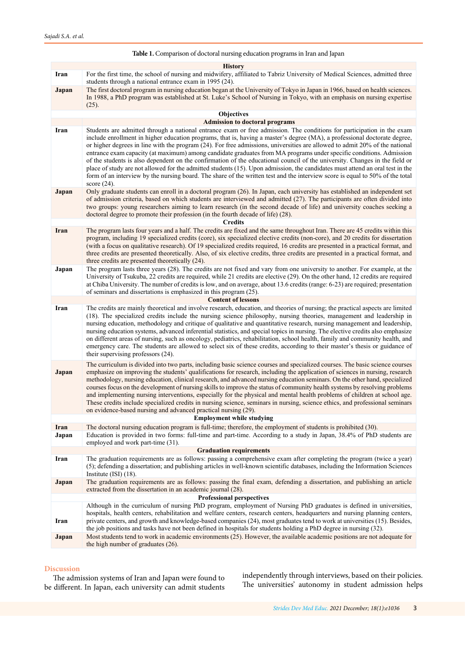# **Table 1.** Comparison of doctoral nursing education programs in Iran and Japan

<span id="page-2-0"></span>

| <b>History</b>                        |                                                                                                                                                                                                                                                                                                                                                                                                                                                                                                                                                                                                                                                                                                                                                                                                                                                                                                                              |
|---------------------------------------|------------------------------------------------------------------------------------------------------------------------------------------------------------------------------------------------------------------------------------------------------------------------------------------------------------------------------------------------------------------------------------------------------------------------------------------------------------------------------------------------------------------------------------------------------------------------------------------------------------------------------------------------------------------------------------------------------------------------------------------------------------------------------------------------------------------------------------------------------------------------------------------------------------------------------|
| Iran                                  | For the first time, the school of nursing and midwifery, affiliated to Tabriz University of Medical Sciences, admitted three<br>students through a national entrance exam in 1995 (24).                                                                                                                                                                                                                                                                                                                                                                                                                                                                                                                                                                                                                                                                                                                                      |
| Japan                                 | The first doctoral program in nursing education began at the University of Tokyo in Japan in 1966, based on health sciences.<br>In 1988, a PhD program was established at St. Luke's School of Nursing in Tokyo, with an emphasis on nursing expertise<br>(25).                                                                                                                                                                                                                                                                                                                                                                                                                                                                                                                                                                                                                                                              |
| Objectives                            |                                                                                                                                                                                                                                                                                                                                                                                                                                                                                                                                                                                                                                                                                                                                                                                                                                                                                                                              |
| <b>Admission to doctoral programs</b> |                                                                                                                                                                                                                                                                                                                                                                                                                                                                                                                                                                                                                                                                                                                                                                                                                                                                                                                              |
| Iran                                  | Students are admitted through a national entrance exam or free admission. The conditions for participation in the exam<br>include enrollment in higher education programs, that is, having a master's degree (MA), a professional doctorate degree,<br>or higher degrees in line with the program (24). For free admissions, universities are allowed to admit 20% of the national<br>entrance exam capacity (at maximum) among candidate graduates from MA programs under specific conditions. Admission<br>of the students is also dependent on the confirmation of the educational council of the university. Changes in the field or<br>place of study are not allowed for the admitted students (15). Upon admission, the candidates must attend an oral test in the<br>form of an interview by the nursing board. The share of the written test and the interview score is equal to 50% of the total<br>score $(24)$ . |
| Japan                                 | Only graduate students can enroll in a doctoral program (26). In Japan, each university has established an independent set<br>of admission criteria, based on which students are interviewed and admitted (27). The participants are often divided into<br>two groups: young researchers aiming to learn research (in the second decade of life) and university coaches seeking a<br>doctoral degree to promote their profession (in the fourth decade of life) (28).<br><b>Credits</b>                                                                                                                                                                                                                                                                                                                                                                                                                                      |
| Iran                                  | The program lasts four years and a half. The credits are fixed and the same throughout Iran. There are 45 credits within this<br>program, including 19 specialized credits (core), six specialized elective credits (non-core), and 20 credits for dissertation<br>(with a focus on qualitative research). Of 19 specialized credits required, 16 credits are presented in a practical format, and<br>three credits are presented theoretically. Also, of six elective credits, three credits are presented in a practical format, and<br>three credits are presented theoretically (24).                                                                                                                                                                                                                                                                                                                                    |
| Japan                                 | The program lasts three years (28). The credits are not fixed and vary from one university to another. For example, at the<br>University of Tsukuba, 22 credits are required, while 21 credits are elective (29). On the other hand, 12 credits are required<br>at Chiba University. The number of credits is low, and on average, about 13.6 credits (range: 6-23) are required; presentation<br>of seminars and dissertations is emphasized in this program (25).                                                                                                                                                                                                                                                                                                                                                                                                                                                          |
| <b>Content of lessons</b>             |                                                                                                                                                                                                                                                                                                                                                                                                                                                                                                                                                                                                                                                                                                                                                                                                                                                                                                                              |
| Iran                                  | The credits are mainly theoretical and involve research, education, and theories of nursing; the practical aspects are limited<br>(18). The specialized credits include the nursing science philosophy, nursing theories, management and leadership in<br>nursing education, methodology and critique of qualitative and quantitative research, nursing management and leadership,<br>nursing education systems, advanced inferential statistics, and special topics in nursing. The elective credits also emphasize<br>on different areas of nursing, such as oncology, pediatrics, rehabilitation, school health, family and community health, and<br>emergency care. The students are allowed to select six of these credits, according to their master's thesis or guidance of<br>their supervising professors (24).                                                                                                     |
| Japan                                 | The curriculum is divided into two parts, including basic science courses and specialized courses. The basic science courses<br>emphasize on improving the students' qualifications for research, including the application of sciences in nursing, research<br>methodology, nursing education, clinical research, and advanced nursing education seminars. On the other hand, specialized<br>courses focus on the development of nursing skills to improve the status of community health systems by resolving problems<br>and implementing nursing interventions, especially for the physical and mental health problems of children at school age.<br>These credits include specialized credits in nursing science, seminars in nursing, science ethics, and professional seminars<br>on evidence-based nursing and advanced practical nursing (29).                                                                      |
| <b>Employment while studying</b>      |                                                                                                                                                                                                                                                                                                                                                                                                                                                                                                                                                                                                                                                                                                                                                                                                                                                                                                                              |
| Iran                                  | The doctoral nursing education program is full-time; therefore, the employment of students is prohibited (30).<br>Education is provided in two forms: full-time and part-time. According to a study in Japan, 38.4% of PhD students are                                                                                                                                                                                                                                                                                                                                                                                                                                                                                                                                                                                                                                                                                      |
| Japan                                 | employed and work part-time (31).                                                                                                                                                                                                                                                                                                                                                                                                                                                                                                                                                                                                                                                                                                                                                                                                                                                                                            |
| <b>Graduation requirements</b>        |                                                                                                                                                                                                                                                                                                                                                                                                                                                                                                                                                                                                                                                                                                                                                                                                                                                                                                                              |
| Iran                                  | The graduation requirements are as follows: passing a comprehensive exam after completing the program (twice a year)<br>(5); defending a dissertation; and publishing articles in well-known scientific databases, including the Information Sciences<br>Institute $(ISI)$ $(18)$ .                                                                                                                                                                                                                                                                                                                                                                                                                                                                                                                                                                                                                                          |
| Japan                                 | The graduation requirements are as follows: passing the final exam, defending a dissertation, and publishing an article<br>extracted from the dissertation in an academic journal (28).                                                                                                                                                                                                                                                                                                                                                                                                                                                                                                                                                                                                                                                                                                                                      |
| <b>Professional perspectives</b>      |                                                                                                                                                                                                                                                                                                                                                                                                                                                                                                                                                                                                                                                                                                                                                                                                                                                                                                                              |
|                                       | Although in the curriculum of nursing PhD program, employment of Nursing PhD graduates is defined in universities,                                                                                                                                                                                                                                                                                                                                                                                                                                                                                                                                                                                                                                                                                                                                                                                                           |
| Iran                                  | hospitals, health centers, rehabilitation and welfare centers, research centers, headquarters and nursing planning centers,<br>private centers, and growth and knowledge-based companies (24), most graduates tend to work at universities (15). Besides,<br>the job positions and tasks have not been defined in hospitals for students holding a PhD degree in nursing (32).                                                                                                                                                                                                                                                                                                                                                                                                                                                                                                                                               |
| Japan                                 | Most students tend to work in academic environments (25). However, the available academic positions are not adequate for<br>the high number of graduates (26).                                                                                                                                                                                                                                                                                                                                                                                                                                                                                                                                                                                                                                                                                                                                                               |

# **Discussion**

The admission systems of Iran and Japan were found to be different. In Japan, each university can admit students

independently through interviews, based on their policies. The universities' autonomy in student admission helps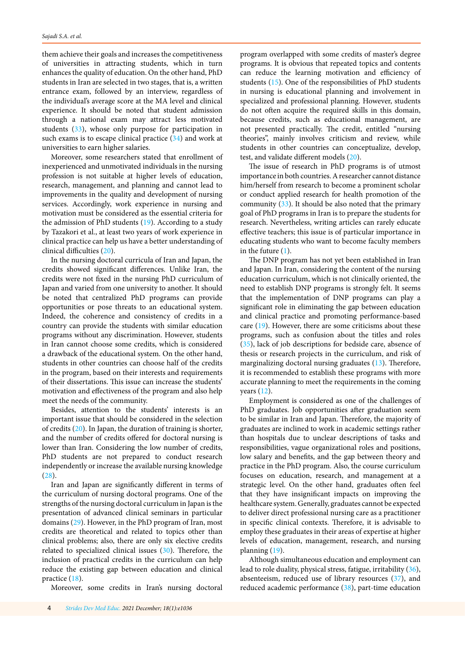them achieve their goals and increases the competitiveness of universities in attracting students, which in turn enhances the quality of education. On the other hand, PhD students in Iran are selected in two stages, that is, a written entrance exam, followed by an interview, regardless of the individual's average score at the MA level and clinical experience. It should be noted that student admission through a national exam may attract less motivated students [\(33\)](#page-5-0), whose only purpose for participation in such exams is to escape clinical practice ([34\)](#page-5-0) and work at universities to earn higher salaries.

Moreover, some researchers stated that enrollment of inexperienced and unmotivated individuals in the nursing profession is not suitable at higher levels of education, research, management, and planning and cannot lead to improvements in the quality and development of nursing services. Accordingly, work experience in nursing and motivation must be considered as the essential criteria for the admission of PhD students [\(19\)](#page-4-0). According to a study by Tazakori et al., at least two years of work experience in clinical practice can help us have a better understanding of clinical difficulties [\(20\)](#page-4-0).

In the nursing doctoral curricula of Iran and Japan, the credits showed significant differences. Unlike Iran, the credits were not fixed in the nursing PhD curriculum of Japan and varied from one university to another. It should be noted that centralized PhD programs can provide opportunities or pose threats to an educational system. Indeed, the coherence and consistency of credits in a country can provide the students with similar education programs without any discrimination. However, students in Iran cannot choose some credits, which is considered a drawback of the educational system. On the other hand, students in other countries can choose half of the credits in the program, based on their interests and requirements of their dissertations. This issue can increase the students' motivation and effectiveness of the program and also help meet the needs of the community.

Besides, attention to the students' interests is an important issue that should be considered in the selection of credits [\(20\)](#page-4-0). In Japan, the duration of training is shorter, and the number of credits offered for doctoral nursing is lower than Iran. Considering the low number of credits, PhD students are not prepared to conduct research independently or increase the available nursing knowledge [\(28\)](#page-5-0).

Iran and Japan are significantly different in terms of the curriculum of nursing doctoral programs. One of the strengths of the nursing doctoral curriculum in Japan is the presentation of advanced clinical seminars in particular domains ([29\)](#page-5-0). However, in the PhD program of Iran, most credits are theoretical and related to topics other than clinical problems; also, there are only six elective credits related to specialized clinical issues [\(30\)](#page-5-0). Therefore, the inclusion of practical credits in the curriculum can help reduce the existing gap between education and clinical practice [\(18\)](#page-4-0).

Moreover, some credits in Iran's nursing doctoral

program overlapped with some credits of master's degree programs. It is obvious that repeated topics and contents can reduce the learning motivation and efficiency of students [\(15\)](#page-4-0). One of the responsibilities of PhD students in nursing is educational planning and involvement in specialized and professional planning. However, students do not often acquire the required skills in this domain, because credits, such as educational management, are not presented practically. The credit, entitled "nursing theories", mainly involves criticism and review, while students in other countries can conceptualize, develop, test, and validate different models [\(20](#page-4-0)).

The issue of research in PhD programs is of utmost importance in both countries. A researcher cannot distance him/herself from research to become a prominent scholar or conduct applied research for health promotion of the community  $(33)$ . It should be also noted that the primary goal of PhD programs in Iran is to prepare the students for research. Nevertheless, writing articles can rarely educate effective teachers; this issue is of particular importance in educating students who want to become faculty members in the future  $(1)$  $(1)$ .

The DNP program has not yet been established in Iran and Japan. In Iran, considering the content of the nursing education curriculum, which is not clinically oriented, the need to establish DNP programs is strongly felt. It seems that the implementation of DNP programs can play a significant role in eliminating the gap between education and clinical practice and promoting performance-based care [\(19\)](#page-4-0). However, there are some criticisms about these programs, such as confusion about the titles and roles [\(35\)](#page-5-0), lack of job descriptions for bedside care, absence of thesis or research projects in the curriculum, and risk of marginalizing doctoral nursing graduates ([13](#page-4-0)). Therefore, it is recommended to establish these programs with more accurate planning to meet the requirements in the coming years ([12](#page-4-0)).

Employment is considered as one of the challenges of PhD graduates. Job opportunities after graduation seem to be similar in Iran and Japan. Therefore, the majority of graduates are inclined to work in academic settings rather than hospitals due to unclear descriptions of tasks and responsibilities, vague organizational roles and positions, low salary and benefits, and the gap between theory and practice in the PhD program. Also, the course curriculum focuses on education, research, and management at a strategic level. On the other hand, graduates often feel that they have insignificant impacts on improving the healthcare system. Generally, graduates cannot be expected to deliver direct professional nursing care as a practitioner in specific clinical contexts. Therefore, it is advisable to employ these graduates in their areas of expertise at higher levels of education, management, research, and nursing planning [\(19\)](#page-4-0).

Although simultaneous education and employment can lead to role duality, physical stress, fatigue, irritability [\(36\)](#page-5-0), absenteeism, reduced use of library resources [\(37\)](#page-5-0), and reduced academic performance [\(38\)](#page-5-0), part-time education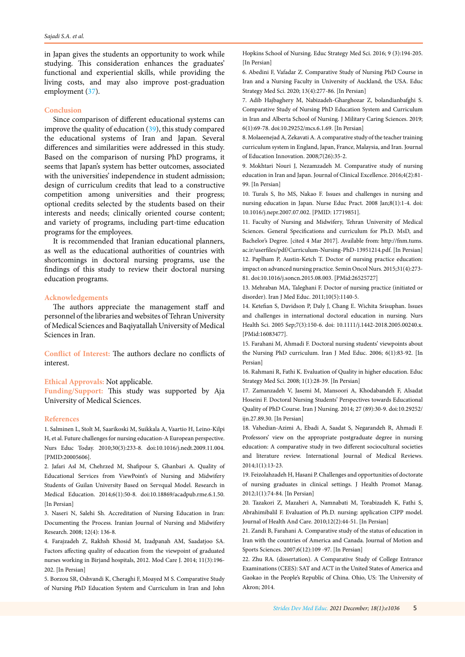<span id="page-4-0"></span>in Japan gives the students an opportunity to work while studying. This consideration enhances the graduates' functional and experiential skills, while providing the living costs, and may also improve post-graduation employment ([37](#page-5-0)).

## **Conclusion**

Since comparison of different educational systems can improve the quality of education [\(39\)](#page-5-0), this study compared the educational systems of Iran and Japan. Several differences and similarities were addressed in this study. Based on the comparison of nursing PhD programs, it seems that Japan's system has better outcomes, associated with the universities' independence in student admission; design of curriculum credits that lead to a constructive competition among universities and their progress; optional credits selected by the students based on their interests and needs; clinically oriented course content; and variety of programs, including part-time education programs for the employees.

It is recommended that Iranian educational planners, as well as the educational authorities of countries with shortcomings in doctoral nursing programs, use the findings of this study to review their doctoral nursing education programs.

#### **Acknowledgements**

The authors appreciate the management staff and personnel of the libraries and websites of Tehran University of Medical Sciences and Baqiyatallah University of Medical Sciences in Iran.

**Conflict of Interest:** The authors declare no conflicts of interest.

#### **Ethical Approvals:** Not applicable.

**Funding/Support:** This study was supported by Aja University of Medical Sciences.

#### **References**

1. Salminen L, Stolt M, Saarikoski M, Suikkala A, Vaartio H, Leino-Kilpi H, et al. Future challenges for nursing education-A European perspective. Nurs Educ Today. 2010;30(3):233-8. doi:10.1016/j.nedt.2009.11.004. [PMID:20005606].

2. Jafari Asl M, Chehrzed M, Shafipour S, Ghanbari A. Quality of Educational Services from ViewPoint's of Nursing and Midwifery Students of Guilan University Based on Servqual Model. Research in Medical Education. 2014;6(1):50-8. doi:10.18869/acadpub.rme.6.1.50. [In Persian]

3. Naseri N, Salehi Sh. Accreditation of Nursing Education in Iran: Documenting the Process. Iranian Journal of Nursing and Midwifery Research. 2008; 12(4): 136-8.

4. Farajzadeh Z, Rakhsh Khosid M, Izadpanah AM, Saadatjoo SA. Factors affecting quality of education from the viewpoint of graduated nurses working in Birjand hospitals, 2012. Mod Care J. 2014; 11(3):196- 202. [In Persian]

5. Borzou SR, Oshvandi K, Cheraghi F, Moayed M S. Comparative Study of Nursing PhD Education System and Curriculum in Iran and John

Hopkins School of Nursing. Educ Strategy Med Sci. 2016; 9 (3):194-205. [In Persian]

6. Abedini F, Vafadar Z. Comparative Study of Nursing PhD Course in Iran and a Nursing Faculty in University of Auckland, the USA. Educ Strategy Med Sci. 2020; 13(4):277-86. [In Persian]

7. Adib Hajbaghery M, Nabizadeh-Gharghozar Z, bolandianbafghi S. Comparative Study of Nursing PhD Education System and Curriculum in Iran and Alberta School of Nursing. J Military Caring Sciences. 2019; 6(1):69-78. doi:10.29252/mcs.6.1.69. [In Persian]

8. Molaeenejad A, Zekavati A. A comparative study of the teacher training curriculum system in England, Japan, France, Malaysia, and Iran. Journal of Education Innovation. 2008;7(26):35-2.

9. Mokhtari Nouri J, Nezamzadeh M. Comparative study of nursing education in Iran and Japan. Journal of Clinical Excellence. 2016;4(2):81- 99. [In Persian]

10. Turals S, Ito MS, Nakao F. Issues and challenges in nursing and nursing education in Japan. Nurse Educ Pract. 2008 Jan;8(1):1-4. doi: 10.1016/j.nepr.2007.07.002. [PMID: 17719851].

11. Faculty of Nursing and Midwifery, Tehran University of Medical Sciences. General Specifications and curriculum for Ph.D. MsD, and Bachelor's Degree. [cited 4 Mar 2017]. Available from: http://fnm.tums. ac.ir/userfiles/pdf/Curriculum-Nursing-PhD-13951214.pdf. [In Persian] 12. Paplham P, Austin-Ketch T. Doctor of nursing practice education: impact on advanced nursing practice. Semin Oncol Nurs. 2015;31(4):273- 81. doi:10.1016/j.soncn.2015.08.003. [PMid:26525727]

13. Mehraban MA, Taleghani F. Doctor of nursing practice (initiated or disorder). Iran J Med Educ. 2011;10(5):1140-5.

14. Ketefian S, Davidson P, Daly J, Chang E. Wichita Srisuphan. Issues and challenges in international doctoral education in nursing. Nurs Health Sci. 2005 Sep;7(3):150-6. doi: 10.1111/j.1442-2018.2005.00240.x. [PMid:16083477].

15. Farahani M, Ahmadi F. Doctoral nursing students' viewpoints about the Nursing PhD curriculum. Iran J Med Educ. 2006; 6(1):83-92. [In Persian]

16. Rahmani R, Fathi K. Evaluation of Quality in higher education. Educ Strategy Med Sci. 2008; 1(1):28-39. [In Persian]

17. Zamanzadeh V, Jasemi M, Mansoori A, Khodabandeh F, Alsadat Hoseini F. Doctoral Nursing Students' Perspectives towards Educational Quality of PhD Course. Iran J Nursing. 2014; 27 (89):30-9. doi:10.29252/ ijn.27.89.30. [In Persian]

18. Vahedian-Azimi A, Ebadi A, Saadat S, Negarandeh R, Ahmadi F. Professors' view on the appropriate postgraduate degree in nursing education: A comparative study in two different sociocultural societies and literature review. International Journal of Medical Reviews. 2014;1(1):13-23.

19. Feizolahzadeh H, Hasani P. Challenges and opportunities of doctorate of nursing graduates in clinical settings. J Health Promot Manag. 2012;1(1):74-84. [In Persian]

20. Tazakori Z, Mazaheri A, Namnabati M, Torabizadeh K, Fathi S, Abrahimibalil F. Evaluation of Ph.D. nursing: application CIPP model. Journal of Health And Care. 2010;12(2):44-51. [In Persian]

21. Zandi B, Farahani A. Comparative study of the status of education in Iran with the countries of America and Canada. Journal of Motion and Sports Sciences. 2007;6(12):109 -97. [In Persian]

22. Zhu RA. (dissertation). A Comparative Study of College Entrance Examinations (CEES): SAT and ACT in the United States of America and Gaokao in the People's Republic of China. Ohio, US: The University of Akron; 2014.